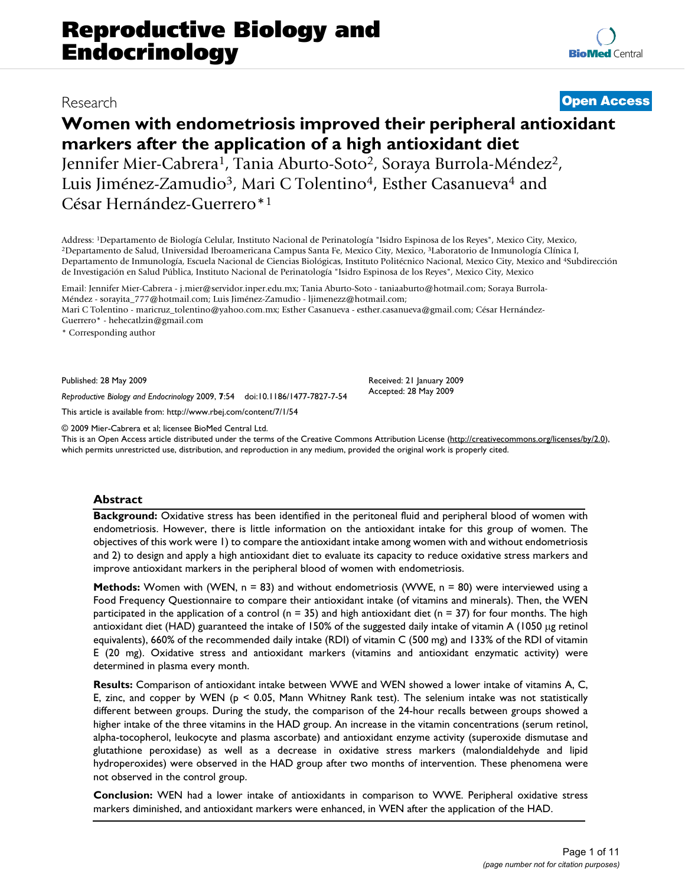**[BioMed](http://www.biomedcentral.com/)** Central

# **Women with endometriosis improved their peripheral antioxidant markers after the application of a high antioxidant diet** Jennifer Mier-Cabrera<sup>1</sup>, Tania Aburto-Soto<sup>2</sup>, Soraya Burrola-Méndez<sup>2</sup>, Luis Jiménez-Zamudio<sup>3</sup>, Mari C Tolentino<sup>4</sup>, Esther Casanueva<sup>4</sup> and César Hernández-Guerrero\*1

Address: <sup>1</sup>Departamento de Biología Celular, Instituto Nacional de Perinatología "Isidro Espinosa de los Reyes", Mexico City, Mexico,<br><sup>2</sup>Departamento de Salud, Universidad Iberoamericana Campus Santa Fe, Mexico City, Mexi Departamento de Inmunología, Escuela Nacional de Ciencias Biológicas, Instituto Politécnico Nacional, Mexico City, Mexico and 4Subdirección de Investigación en Salud Pública, Instituto Nacional de Perinatología "Isidro Espinosa de los Reyes", Mexico City, Mexico

Email: Jennifer Mier-Cabrera - j.mier@servidor.inper.edu.mx; Tania Aburto-Soto - taniaaburto@hotmail.com; Soraya Burrola-Méndez - sorayita\_777@hotmail.com; Luis Jiménez-Zamudio - ljimenezz@hotmail.com; Mari C Tolentino - maricruz tolentino@yahoo.com.mx; Esther Casanueva - esther.casanueva@gmail.com; César Hernández-Guerrero\* - hehecatlzin@gmail.com

\* Corresponding author

Published: 28 May 2009

*Reproductive Biology and Endocrinology* 2009, **7**:54 doi:10.1186/1477-7827-7-54

[This article is available from: http://www.rbej.com/content/7/1/54](http://www.rbej.com/content/7/1/54)

© 2009 Mier-Cabrera et al; licensee BioMed Central Ltd.

This is an Open Access article distributed under the terms of the Creative Commons Attribution License [\(http://creativecommons.org/licenses/by/2.0\)](http://creativecommons.org/licenses/by/2.0), which permits unrestricted use, distribution, and reproduction in any medium, provided the original work is properly cited.

Received: 21 January 2009 Accepted: 28 May 2009

#### **Abstract**

**Background:** Oxidative stress has been identified in the peritoneal fluid and peripheral blood of women with endometriosis. However, there is little information on the antioxidant intake for this group of women. The objectives of this work were 1) to compare the antioxidant intake among women with and without endometriosis and 2) to design and apply a high antioxidant diet to evaluate its capacity to reduce oxidative stress markers and improve antioxidant markers in the peripheral blood of women with endometriosis.

**Methods:** Women with (WEN, n = 83) and without endometriosis (WWE, n = 80) were interviewed using a Food Frequency Questionnaire to compare their antioxidant intake (of vitamins and minerals). Then, the WEN participated in the application of a control (n = 35) and high antioxidant diet (n = 37) for four months. The high antioxidant diet (HAD) guaranteed the intake of 150% of the suggested daily intake of vitamin A (1050 μg retinol equivalents), 660% of the recommended daily intake (RDI) of vitamin C (500 mg) and 133% of the RDI of vitamin E (20 mg). Oxidative stress and antioxidant markers (vitamins and antioxidant enzymatic activity) were determined in plasma every month.

**Results:** Comparison of antioxidant intake between WWE and WEN showed a lower intake of vitamins A, C, E, zinc, and copper by WEN ( $p < 0.05$ , Mann Whitney Rank test). The selenium intake was not statistically different between groups. During the study, the comparison of the 24-hour recalls between groups showed a higher intake of the three vitamins in the HAD group. An increase in the vitamin concentrations (serum retinol, alpha-tocopherol, leukocyte and plasma ascorbate) and antioxidant enzyme activity (superoxide dismutase and glutathione peroxidase) as well as a decrease in oxidative stress markers (malondialdehyde and lipid hydroperoxides) were observed in the HAD group after two months of intervention. These phenomena were not observed in the control group.

**Conclusion:** WEN had a lower intake of antioxidants in comparison to WWE. Peripheral oxidative stress markers diminished, and antioxidant markers were enhanced, in WEN after the application of the HAD.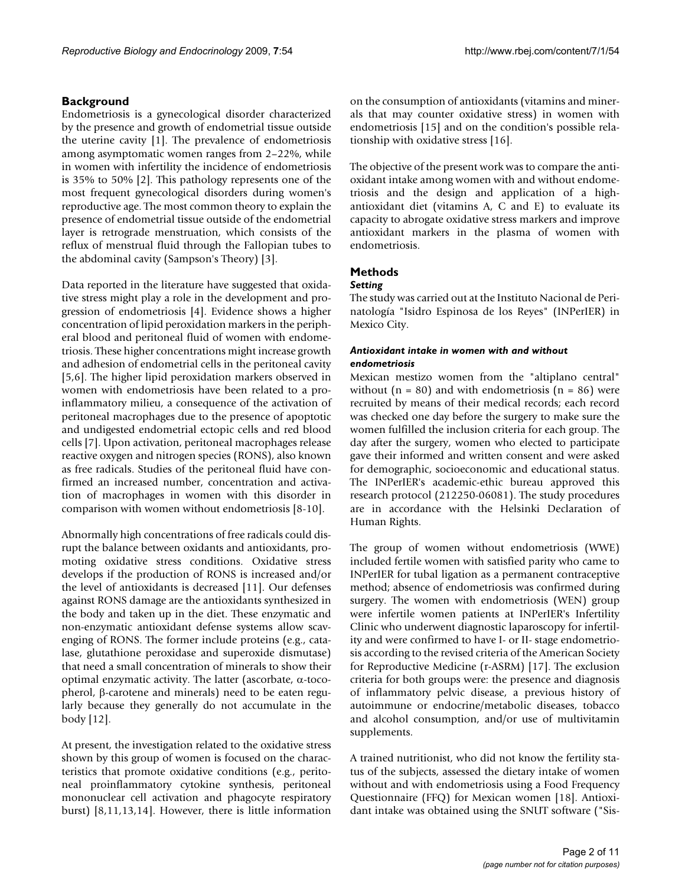# **Background**

Endometriosis is a gynecological disorder characterized by the presence and growth of endometrial tissue outside the uterine cavity [1]. The prevalence of endometriosis among asymptomatic women ranges from 2–22%, while in women with infertility the incidence of endometriosis is 35% to 50% [2]. This pathology represents one of the most frequent gynecological disorders during women's reproductive age. The most common theory to explain the presence of endometrial tissue outside of the endometrial layer is retrograde menstruation, which consists of the reflux of menstrual fluid through the Fallopian tubes to the abdominal cavity (Sampson's Theory) [3].

Data reported in the literature have suggested that oxidative stress might play a role in the development and progression of endometriosis [4]. Evidence shows a higher concentration of lipid peroxidation markers in the peripheral blood and peritoneal fluid of women with endometriosis. These higher concentrations might increase growth and adhesion of endometrial cells in the peritoneal cavity [5,6]. The higher lipid peroxidation markers observed in women with endometriosis have been related to a proinflammatory milieu, a consequence of the activation of peritoneal macrophages due to the presence of apoptotic and undigested endometrial ectopic cells and red blood cells [7]. Upon activation, peritoneal macrophages release reactive oxygen and nitrogen species (RONS), also known as free radicals. Studies of the peritoneal fluid have confirmed an increased number, concentration and activation of macrophages in women with this disorder in comparison with women without endometriosis [8-10].

Abnormally high concentrations of free radicals could disrupt the balance between oxidants and antioxidants, promoting oxidative stress conditions. Oxidative stress develops if the production of RONS is increased and/or the level of antioxidants is decreased [11]. Our defenses against RONS damage are the antioxidants synthesized in the body and taken up in the diet. These enzymatic and non-enzymatic antioxidant defense systems allow scavenging of RONS. The former include proteins (e.g., catalase, glutathione peroxidase and superoxide dismutase) that need a small concentration of minerals to show their optimal enzymatic activity. The latter (ascorbate, α-tocopherol, β-carotene and minerals) need to be eaten regularly because they generally do not accumulate in the body [12].

At present, the investigation related to the oxidative stress shown by this group of women is focused on the characteristics that promote oxidative conditions (e.g., peritoneal proinflammatory cytokine synthesis, peritoneal mononuclear cell activation and phagocyte respiratory burst) [8,11,13,14]. However, there is little information

on the consumption of antioxidants (vitamins and minerals that may counter oxidative stress) in women with endometriosis [15] and on the condition's possible relationship with oxidative stress [16].

The objective of the present work was to compare the antioxidant intake among women with and without endometriosis and the design and application of a highantioxidant diet (vitamins A, C and E) to evaluate its capacity to abrogate oxidative stress markers and improve antioxidant markers in the plasma of women with endometriosis.

# **Methods**

# *Setting*

The study was carried out at the Instituto Nacional de Perinatología "Isidro Espinosa de los Reyes" (INPerIER) in Mexico City.

### *Antioxidant intake in women with and without endometriosis*

Mexican mestizo women from the "altiplano central" without ( $n = 80$ ) and with endometriosis ( $n = 86$ ) were recruited by means of their medical records; each record was checked one day before the surgery to make sure the women fulfilled the inclusion criteria for each group. The day after the surgery, women who elected to participate gave their informed and written consent and were asked for demographic, socioeconomic and educational status. The INPerIER's academic-ethic bureau approved this research protocol (212250-06081). The study procedures are in accordance with the Helsinki Declaration of Human Rights.

The group of women without endometriosis (WWE) included fertile women with satisfied parity who came to INPerIER for tubal ligation as a permanent contraceptive method; absence of endometriosis was confirmed during surgery. The women with endometriosis (WEN) group were infertile women patients at INPerIER's Infertility Clinic who underwent diagnostic laparoscopy for infertility and were confirmed to have I- or II- stage endometriosis according to the revised criteria of the American Society for Reproductive Medicine (r-ASRM) [17]. The exclusion criteria for both groups were: the presence and diagnosis of inflammatory pelvic disease, a previous history of autoimmune or endocrine/metabolic diseases, tobacco and alcohol consumption, and/or use of multivitamin supplements.

A trained nutritionist, who did not know the fertility status of the subjects, assessed the dietary intake of women without and with endometriosis using a Food Frequency Questionnaire (FFQ) for Mexican women [18]. Antioxidant intake was obtained using the SNUT software ("Sis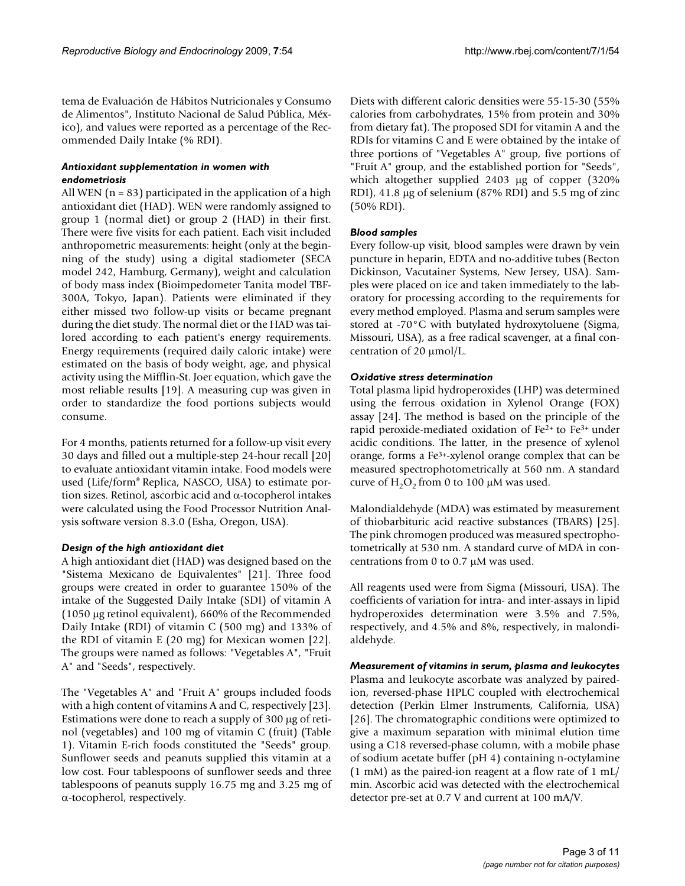tema de Evaluación de Hábitos Nutricionales y Consumo de Alimentos", Instituto Nacional de Salud Pública, México), and values were reported as a percentage of the Recommended Daily Intake (% RDI).

### *Antioxidant supplementation in women with endometriosis*

All WEN ( $n = 83$ ) participated in the application of a high antioxidant diet (HAD). WEN were randomly assigned to group 1 (normal diet) or group 2 (HAD) in their first. There were five visits for each patient. Each visit included anthropometric measurements: height (only at the beginning of the study) using a digital stadiometer (SECA model 242, Hamburg, Germany), weight and calculation of body mass index (Bioimpedometer Tanita model TBF-300A, Tokyo, Japan). Patients were eliminated if they either missed two follow-up visits or became pregnant during the diet study. The normal diet or the HAD was tailored according to each patient's energy requirements. Energy requirements (required daily caloric intake) were estimated on the basis of body weight, age, and physical activity using the Mifflin-St. Joer equation, which gave the most reliable results [19]. A measuring cup was given in order to standardize the food portions subjects would consume.

For 4 months, patients returned for a follow-up visit every 30 days and filled out a multiple-step 24-hour recall [20] to evaluate antioxidant vitamin intake. Food models were used (Life/form® Replica, NASCO, USA) to estimate portion sizes. Retinol, ascorbic acid and α-tocopherol intakes were calculated using the Food Processor Nutrition Analysis software version 8.3.0 (Esha, Oregon, USA).

#### *Design of the high antioxidant diet*

A high antioxidant diet (HAD) was designed based on the "Sistema Mexicano de Equivalentes" [21]. Three food groups were created in order to guarantee 150% of the intake of the Suggested Daily Intake (SDI) of vitamin A (1050 μg retinol equivalent), 660% of the Recommended Daily Intake (RDI) of vitamin C (500 mg) and 133% of the RDI of vitamin E (20 mg) for Mexican women [22]. The groups were named as follows: "Vegetables A", "Fruit A" and "Seeds", respectively.

The "Vegetables A" and "Fruit A" groups included foods with a high content of vitamins A and C, respectively [23]. Estimations were done to reach a supply of 300 μg of retinol (vegetables) and 100 mg of vitamin C (fruit) (Table 1). Vitamin E-rich foods constituted the "Seeds" group. Sunflower seeds and peanuts supplied this vitamin at a low cost. Four tablespoons of sunflower seeds and three tablespoons of peanuts supply 16.75 mg and 3.25 mg of α-tocopherol, respectively.

Diets with different caloric densities were 55-15-30 (55% calories from carbohydrates, 15% from protein and 30% from dietary fat). The proposed SDI for vitamin A and the RDIs for vitamins C and E were obtained by the intake of three portions of "Vegetables A" group, five portions of "Fruit A" group, and the established portion for "Seeds", which altogether supplied 2403 μg of copper (320% RDI), 41.8 μg of selenium (87% RDI) and 5.5 mg of zinc (50% RDI).

# *Blood samples*

Every follow-up visit, blood samples were drawn by vein puncture in heparin, EDTA and no-additive tubes (Becton Dickinson, Vacutainer Systems, New Jersey, USA). Samples were placed on ice and taken immediately to the laboratory for processing according to the requirements for every method employed. Plasma and serum samples were stored at -70°C with butylated hydroxytoluene (Sigma, Missouri, USA), as a free radical scavenger, at a final concentration of 20 μmol/L.

# *Oxidative stress determination*

Total plasma lipid hydroperoxides (LHP) was determined using the ferrous oxidation in Xylenol Orange (FOX) assay [24]. The method is based on the principle of the rapid peroxide-mediated oxidation of Fe2+ to Fe3+ under acidic conditions. The latter, in the presence of xylenol orange, forms a Fe3+-xylenol orange complex that can be measured spectrophotometrically at 560 nm. A standard curve of  $H_2O_2$  from 0 to 100 μM was used.

Malondialdehyde (MDA) was estimated by measurement of thiobarbituric acid reactive substances (TBARS) [25]. The pink chromogen produced was measured spectrophotometrically at 530 nm. A standard curve of MDA in concentrations from 0 to 0.7 μM was used.

All reagents used were from Sigma (Missouri, USA). The coefficients of variation for intra- and inter-assays in lipid hydroperoxides determination were 3.5% and 7.5%, respectively, and 4.5% and 8%, respectively, in malondialdehyde.

*Measurement of vitamins in serum, plasma and leukocytes* Plasma and leukocyte ascorbate was analyzed by pairedion, reversed-phase HPLC coupled with electrochemical detection (Perkin Elmer Instruments, California, USA) [26]. The chromatographic conditions were optimized to give a maximum separation with minimal elution time using a C18 reversed-phase column, with a mobile phase of sodium acetate buffer (pH 4) containing n-octylamine (1 mM) as the paired-ion reagent at a flow rate of 1 mL/ min. Ascorbic acid was detected with the electrochemical detector pre-set at 0.7 V and current at 100 mA/V.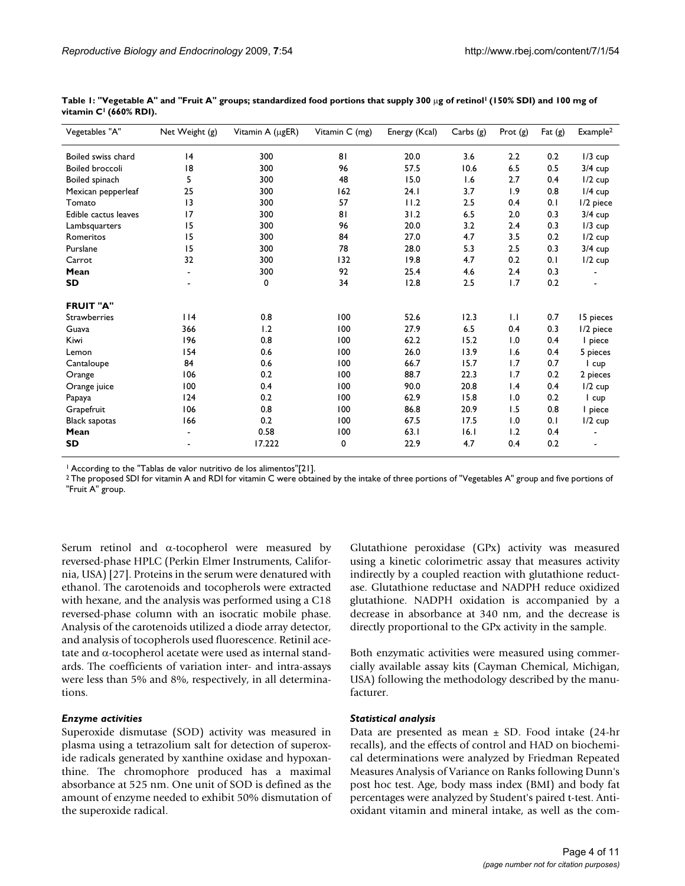| Vegetables "A"         | Net Weight (g) | Vitamin A (µgER) | Vitamin C (mg) | Energy (Kcal) | Carbs (g) | Prot $(g)$ | Fat $(g)$ | Example <sup>2</sup> |
|------------------------|----------------|------------------|----------------|---------------|-----------|------------|-----------|----------------------|
| Boiled swiss chard     | 4              | 300              | 81             | 20.0          | 3.6       | 2.2        | 0.2       | $1/3$ cup            |
| <b>Boiled broccoli</b> | 18             | 300              | 96             | 57.5          | 10.6      | 6.5        | 0.5       | $3/4$ cup            |
| Boiled spinach         | 5              | 300              | 48             | 15.0          | 1.6       | 2.7        | 0.4       | $1/2$ cup            |
| Mexican pepperleaf     | 25             | 300              | 162            | 24.1          | 3.7       | 1.9        | 0.8       | $1/4$ cup            |
| Tomato                 | 3              | 300              | 57             | 11.2          | 2.5       | 0.4        | 0.1       | 1/2 piece            |
| Edible cactus leaves   | 17             | 300              | 81             | 31.2          | 6.5       | 2.0        | 0.3       | $3/4$ cup            |
| Lambsquarters          | 15             | 300              | 96             | 20.0          | 3.2       | 2.4        | 0.3       | $1/3$ cup            |
| Romeritos              | 15             | 300              | 84             | 27.0          | 4.7       | 3.5        | 0.2       | $1/2$ cup            |
| Purslane               | 15             | 300              | 78             | 28.0          | 5.3       | 2.5        | 0.3       | $3/4$ cup            |
| Carrot                 | 32             | 300              | 132            | 19.8          | 4.7       | 0.2        | 0.1       | $1/2$ cup            |
| Mean                   |                | 300              | 92             | 25.4          | 4.6       | 2.4        | 0.3       |                      |
| SD                     |                | 0                | 34             | 12.8          | 2.5       | 1.7        | 0.2       |                      |
| <b>FRUIT "A"</b>       |                |                  |                |               |           |            |           |                      |
| Strawberries           | 114            | 0.8              | 100            | 52.6          | 12.3      | 1.1        | 0.7       | 15 pieces            |
| Guava                  | 366            | 1.2              | 100            | 27.9          | 6.5       | 0.4        | 0.3       | 1/2 piece            |
| Kiwi                   | 196            | 0.8              | 100            | 62.2          | 15.2      | 1.0        | 0.4       | I piece              |
| Lemon                  | 154            | 0.6              | 100            | 26.0          | 13.9      | 1.6        | 0.4       | 5 pieces             |
| Cantaloupe             | 84             | 0.6              | 100            | 66.7          | 15.7      | 1.7        | 0.7       | I cup                |
| Orange                 | 106            | 0.2              | 100            | 88.7          | 22.3      | 1.7        | 0.2       | 2 pieces             |
| Orange juice           | 100            | 0.4              | 100            | 90.0          | 20.8      | 1.4        | 0.4       | $1/2$ cup            |
| Papaya                 | 124            | 0.2              | 100            | 62.9          | 15.8      | 1.0        | 0.2       | I cup                |
| Grapefruit             | 106            | 0.8              | 100            | 86.8          | 20.9      | 1.5        | 0.8       | I piece              |
| <b>Black sapotas</b>   | 166            | 0.2              | 100            | 67.5          | 17.5      | 1.0        | 0.1       | $1/2$ cup            |
| Mean                   |                | 0.58             | 100            | 63.1          | 16.1      | 1.2        | 0.4       |                      |
| <b>SD</b>              |                | 17.222           | 0              | 22.9          | 4.7       | 0.4        | 0.2       |                      |

Table 1: "Vegetable A" and "Fruit A" groups; standardized food portions that supply 300 μg of retinol<sup>1</sup> (150% SDI) and 100 mg of **vitamin C1 (660% RDI).**

1 According to the "Tablas de valor nutritivo de los alimentos"[21].

<sup>2</sup> The proposed SDI for vitamin A and RDI for vitamin C were obtained by the intake of three portions of "Vegetables A" group and five portions of "Fruit A" group.

Serum retinol and α-tocopherol were measured by reversed-phase HPLC (Perkin Elmer Instruments, California, USA) [27]. Proteins in the serum were denatured with ethanol. The carotenoids and tocopherols were extracted with hexane, and the analysis was performed using a C18 reversed-phase column with an isocratic mobile phase. Analysis of the carotenoids utilized a diode array detector, and analysis of tocopherols used fluorescence. Retinil acetate and α-tocopherol acetate were used as internal standards. The coefficients of variation inter- and intra-assays were less than 5% and 8%, respectively, in all determinations.

#### *Enzyme activities*

Superoxide dismutase (SOD) activity was measured in plasma using a tetrazolium salt for detection of superoxide radicals generated by xanthine oxidase and hypoxanthine. The chromophore produced has a maximal absorbance at 525 nm. One unit of SOD is defined as the amount of enzyme needed to exhibit 50% dismutation of the superoxide radical.

Glutathione peroxidase (GPx) activity was measured using a kinetic colorimetric assay that measures activity indirectly by a coupled reaction with glutathione reductase. Glutathione reductase and NADPH reduce oxidized glutathione. NADPH oxidation is accompanied by a decrease in absorbance at 340 nm, and the decrease is directly proportional to the GPx activity in the sample.

Both enzymatic activities were measured using commercially available assay kits (Cayman Chemical, Michigan, USA) following the methodology described by the manufacturer.

#### *Statistical analysis*

Data are presented as mean  $\pm$  SD. Food intake (24-hr recalls), and the effects of control and HAD on biochemical determinations were analyzed by Friedman Repeated Measures Analysis of Variance on Ranks following Dunn's post hoc test. Age, body mass index (BMI) and body fat percentages were analyzed by Student's paired t-test. Antioxidant vitamin and mineral intake, as well as the com-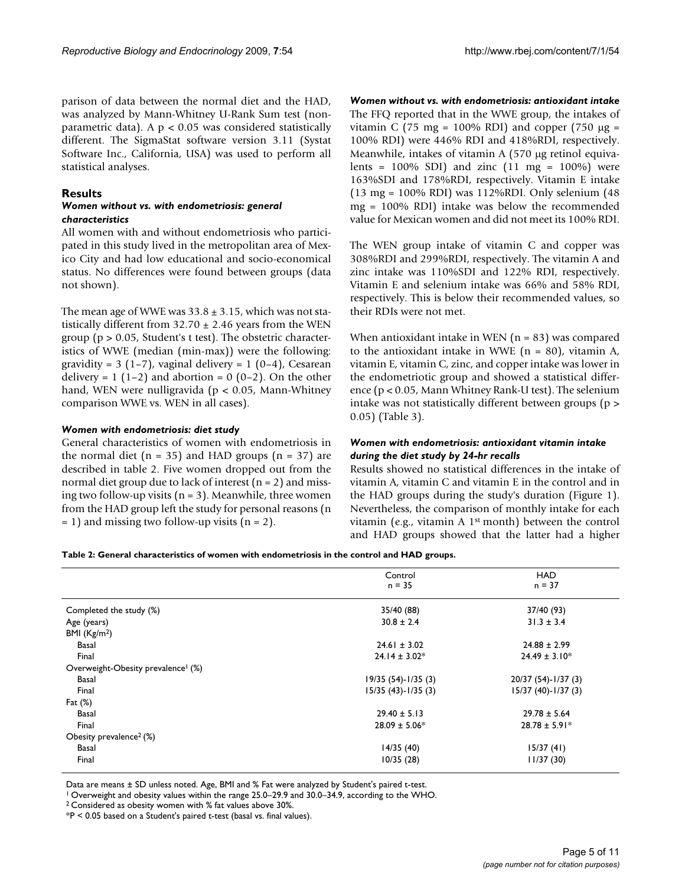parison of data between the normal diet and the HAD, was analyzed by Mann-Whitney U-Rank Sum test (nonparametric data). A  $p < 0.05$  was considered statistically different. The SigmaStat software version 3.11 (Systat Software Inc., California, USA) was used to perform all statistical analyses.

# **Results**

#### *Women without vs. with endometriosis: general characteristics*

All women with and without endometriosis who participated in this study lived in the metropolitan area of Mexico City and had low educational and socio-economical status. No differences were found between groups (data not shown).

The mean age of WWE was  $33.8 \pm 3.15$ , which was not statistically different from  $32.70 \pm 2.46$  years from the WEN group ( $p > 0.05$ , Student's t test). The obstetric characteristics of WWE (median (min-max)) were the following: gravidity =  $3(1-7)$ , vaginal delivery =  $1(0-4)$ , Cesarean delivery =  $1(1-2)$  and abortion =  $0(0-2)$ . On the other hand, WEN were nulligravida (p < 0.05, Mann-Whitney comparison WWE vs. WEN in all cases).

#### *Women with endometriosis: diet study*

General characteristics of women with endometriosis in the normal diet ( $n = 35$ ) and HAD groups ( $n = 37$ ) are described in table 2. Five women dropped out from the normal diet group due to lack of interest  $(n = 2)$  and missing two follow-up visits  $(n = 3)$ . Meanwhile, three women from the HAD group left the study for personal reasons (n  $= 1$ ) and missing two follow-up visits (n = 2).

*Women without vs. with endometriosis: antioxidant intake* The FFQ reported that in the WWE group, the intakes of vitamin C (75 mg = 100% RDI) and copper (750 μg = 100% RDI) were 446% RDI and 418%RDI, respectively. Meanwhile, intakes of vitamin A (570 μg retinol equivalents =  $100\%$  SDI) and zinc  $(11 \text{ mg} = 100\%)$  were 163%SDI and 178%RDI, respectively. Vitamin E intake (13 mg = 100% RDI) was 112%RDI. Only selenium (48 mg = 100% RDI) intake was below the recommended value for Mexican women and did not meet its 100% RDI.

The WEN group intake of vitamin C and copper was 308%RDI and 299%RDI, respectively. The vitamin A and zinc intake was 110%SDI and 122% RDI, respectively. Vitamin E and selenium intake was 66% and 58% RDI, respectively. This is below their recommended values, so their RDIs were not met.

When antioxidant intake in WEN  $(n = 83)$  was compared to the antioxidant intake in WWE  $(n = 80)$ , vitamin A, vitamin E, vitamin C, zinc, and copper intake was lower in the endometriotic group and showed a statistical difference (p < 0.05, Mann Whitney Rank-U test). The selenium intake was not statistically different between groups (p > 0.05) (Table 3).

#### *Women with endometriosis: antioxidant vitamin intake during the diet study by 24-hr recalls*

Results showed no statistical differences in the intake of vitamin A, vitamin C and vitamin E in the control and in the HAD groups during the study's duration (Figure 1). Nevertheless, the comparison of monthly intake for each vitamin (e.g., vitamin A 1st month) between the control and HAD groups showed that the latter had a higher

#### **Table 2: General characteristics of women with endometriosis in the control and HAD groups.**

|                                                | Control               | <b>HAD</b>            |
|------------------------------------------------|-----------------------|-----------------------|
|                                                | $n = 35$              | $n = 37$              |
|                                                |                       |                       |
| Completed the study (%)                        | 35/40 (88)            | 37/40 (93)            |
| Age (years)                                    | $30.8 \pm 2.4$        | $31.3 \pm 3.4$        |
| BMI $(Kg/m2)$                                  |                       |                       |
| Basal                                          | $24.61 \pm 3.02$      | $24.88 \pm 2.99$      |
| Final                                          | $24.14 \pm 3.02*$     | $24.49 \pm 3.10*$     |
| Overweight-Obesity prevalence <sup>1</sup> (%) |                       |                       |
| Basal                                          | $19/35(54)-1/35(3)$   | 20/37 (54)-1/37 (3)   |
| Final                                          | $15/35$ (43)-1/35 (3) | $15/37(40) - 1/37(3)$ |
| Fat $(\%)$                                     |                       |                       |
| Basal                                          | $29.40 \pm 5.13$      | $29.78 \pm 5.64$      |
| Final                                          | $28.09 \pm 5.06*$     | $28.78 \pm 5.91*$     |
| Obesity prevalence <sup>2</sup> (%)            |                       |                       |
| <b>Basal</b>                                   | 14/35(40)             | 15/37(41)             |
| Final                                          | 10/35(28)             | 11/37(30)             |
|                                                |                       |                       |

Data are means ± SD unless noted. Age, BMI and % Fat were analyzed by Student's paired t-test.

1 Overweight and obesity values within the range 25.0–29.9 and 30.0–34.9, according to the WHO.

2 Considered as obesity women with % fat values above 30%.

\*P < 0.05 based on a Student's paired t-test (basal vs. final values).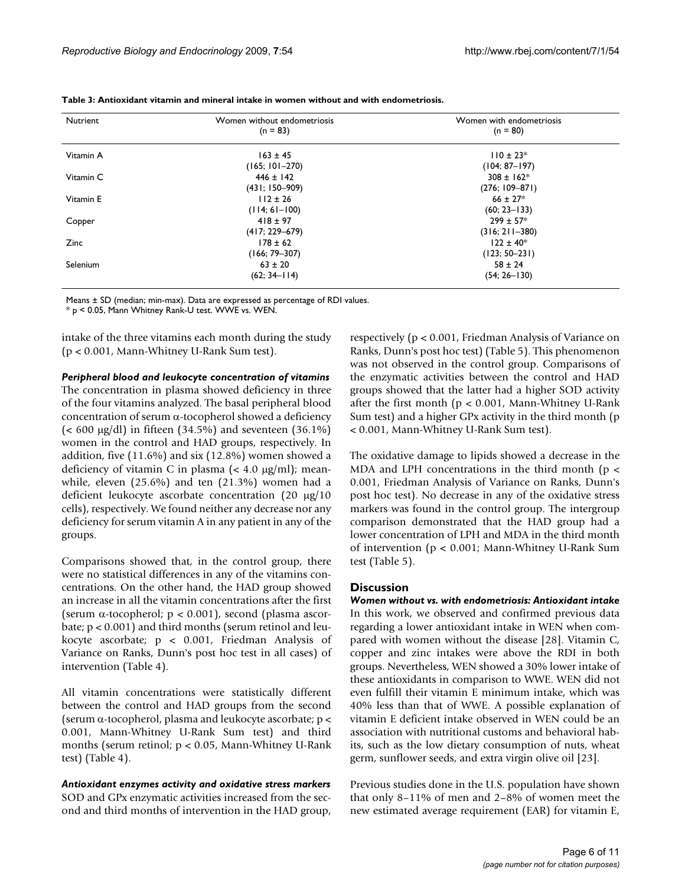| Nutrient  | Women without endometriosis | Women with endometriosis |  |  |
|-----------|-----------------------------|--------------------------|--|--|
|           | $(n = 83)$                  | $(n = 80)$               |  |  |
| Vitamin A | $163 \pm 45$                | $110 \pm 23$ *           |  |  |
|           | $(165; 101 - 270)$          | $(104; 87 - 197)$        |  |  |
| Vitamin C | $446 \pm 142$               | $308 \pm 162$ *          |  |  |
|           | $(431; 150-909)$            | $(276; 109 - 871)$       |  |  |
| Vitamin E | $112 \pm 26$                | $66 \pm 27$ *            |  |  |
|           | $(114; 61-100)$             | $(60; 23 - 133)$         |  |  |
| Copper    | $418 \pm 97$                | $299 \pm 57*$            |  |  |
|           | $(417; 229 - 679)$          | $(316; 211 - 380)$       |  |  |
| Zinc      | $178 \pm 62$                | $122 \pm 40$ *           |  |  |
|           | $(166; 79 - 307)$           | $(123; 50-231)$          |  |  |
| Selenium  | $63 \pm 20$                 | $58 \pm 24$              |  |  |
|           | $(62; 34-114)$              | $(54; 26 - 130)$         |  |  |

**Table 3: Antioxidant vitamin and mineral intake in women without and with endometriosis.**

Means ± SD (median; min-max). Data are expressed as percentage of RDI values.

\* p < 0.05, Mann Whitney Rank-U test. WWE vs. WEN.

intake of the three vitamins each month during the study (p < 0.001, Mann-Whitney U-Rank Sum test).

*Peripheral blood and leukocyte concentration of vitamins*

The concentration in plasma showed deficiency in three of the four vitamins analyzed. The basal peripheral blood concentration of serum α-tocopherol showed a deficiency (< 600 μg/dl) in fifteen (34.5%) and seventeen (36.1%) women in the control and HAD groups, respectively. In addition, five (11.6%) and six (12.8%) women showed a deficiency of vitamin C in plasma  $\left($  < 4.0 μg/ml); meanwhile, eleven (25.6%) and ten (21.3%) women had a deficient leukocyte ascorbate concentration (20 μg/10 cells), respectively. We found neither any decrease nor any deficiency for serum vitamin A in any patient in any of the groups.

Comparisons showed that, in the control group, there were no statistical differences in any of the vitamins concentrations. On the other hand, the HAD group showed an increase in all the vitamin concentrations after the first (serum  $\alpha$ -tocopherol;  $p < 0.001$ ), second (plasma ascorbate;  $p < 0.001$ ) and third months (serum retinol and leukocyte ascorbate; p < 0.001, Friedman Analysis of Variance on Ranks, Dunn's post hoc test in all cases) of intervention (Table 4).

All vitamin concentrations were statistically different between the control and HAD groups from the second (serum α-tocopherol, plasma and leukocyte ascorbate; p < 0.001, Mann-Whitney U-Rank Sum test) and third months (serum retinol; p < 0.05, Mann-Whitney U-Rank test) (Table 4).

*Antioxidant enzymes activity and oxidative stress markers* SOD and GPx enzymatic activities increased from the second and third months of intervention in the HAD group,

respectively (p < 0.001, Friedman Analysis of Variance on Ranks, Dunn's post hoc test) (Table 5). This phenomenon was not observed in the control group. Comparisons of the enzymatic activities between the control and HAD groups showed that the latter had a higher SOD activity after the first month ( $p < 0.001$ , Mann-Whitney U-Rank Sum test) and a higher GPx activity in the third month (p < 0.001, Mann-Whitney U-Rank Sum test).

The oxidative damage to lipids showed a decrease in the MDA and LPH concentrations in the third month ( $p <$ 0.001, Friedman Analysis of Variance on Ranks, Dunn's post hoc test). No decrease in any of the oxidative stress markers was found in the control group. The intergroup comparison demonstrated that the HAD group had a lower concentration of LPH and MDA in the third month of intervention (p < 0.001; Mann-Whitney U-Rank Sum test (Table 5).

#### **Discussion**

*Women without vs. with endometriosis: Antioxidant intake* In this work, we observed and confirmed previous data regarding a lower antioxidant intake in WEN when compared with women without the disease [28]. Vitamin C, copper and zinc intakes were above the RDI in both groups. Nevertheless, WEN showed a 30% lower intake of these antioxidants in comparison to WWE. WEN did not even fulfill their vitamin E minimum intake, which was 40% less than that of WWE. A possible explanation of vitamin E deficient intake observed in WEN could be an association with nutritional customs and behavioral habits, such as the low dietary consumption of nuts, wheat germ, sunflower seeds, and extra virgin olive oil [23].

Previous studies done in the U.S. population have shown that only 8–11% of men and 2–8% of women meet the new estimated average requirement (EAR) for vitamin E,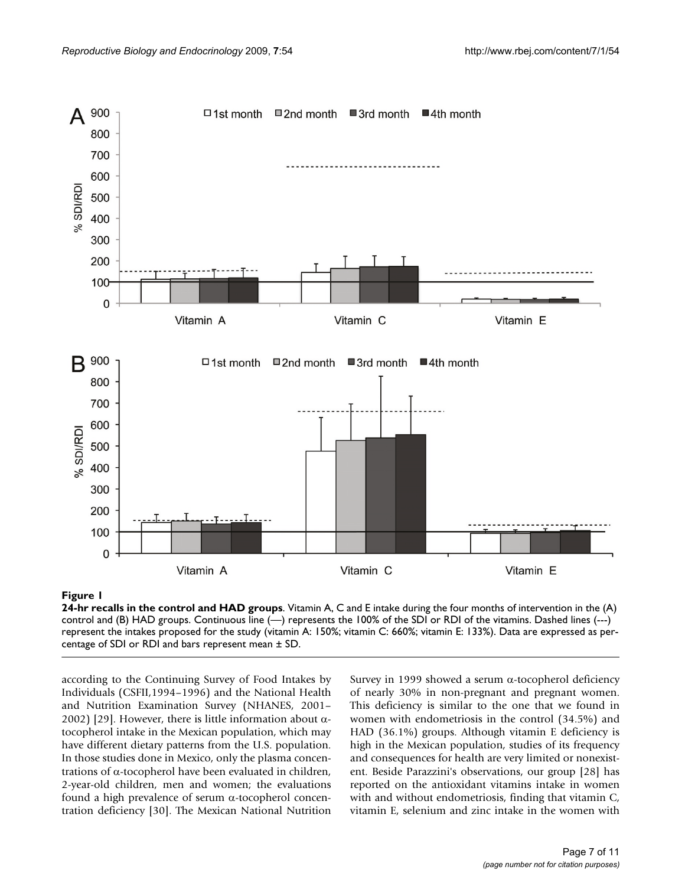

# **Figure 1**

**24-hr recalls in the control and HAD groups**. Vitamin A, C and E intake during the four months of intervention in the (A) control and (B) HAD groups. Continuous line (—) represents the 100% of the SDI or RDI of the vitamins. Dashed lines (---) represent the intakes proposed for the study (vitamin A: 150%; vitamin C: 660%; vitamin E: 133%). Data are expressed as percentage of SDI or RDI and bars represent mean ± SD.

according to the Continuing Survey of Food Intakes by Individuals (CSFII,1994–1996) and the National Health and Nutrition Examination Survey (NHANES, 2001– 2002) [29]. However, there is little information about  $α$ tocopherol intake in the Mexican population, which may have different dietary patterns from the U.S. population. In those studies done in Mexico, only the plasma concentrations of α-tocopherol have been evaluated in children, 2-year-old children, men and women; the evaluations found a high prevalence of serum α-tocopherol concentration deficiency [30]. The Mexican National Nutrition

Survey in 1999 showed a serum α-tocopherol deficiency of nearly 30% in non-pregnant and pregnant women. This deficiency is similar to the one that we found in women with endometriosis in the control (34.5%) and HAD (36.1%) groups. Although vitamin E deficiency is high in the Mexican population, studies of its frequency and consequences for health are very limited or nonexistent. Beside Parazzini's observations, our group [28] has reported on the antioxidant vitamins intake in women with and without endometriosis, finding that vitamin C, vitamin E, selenium and zinc intake in the women with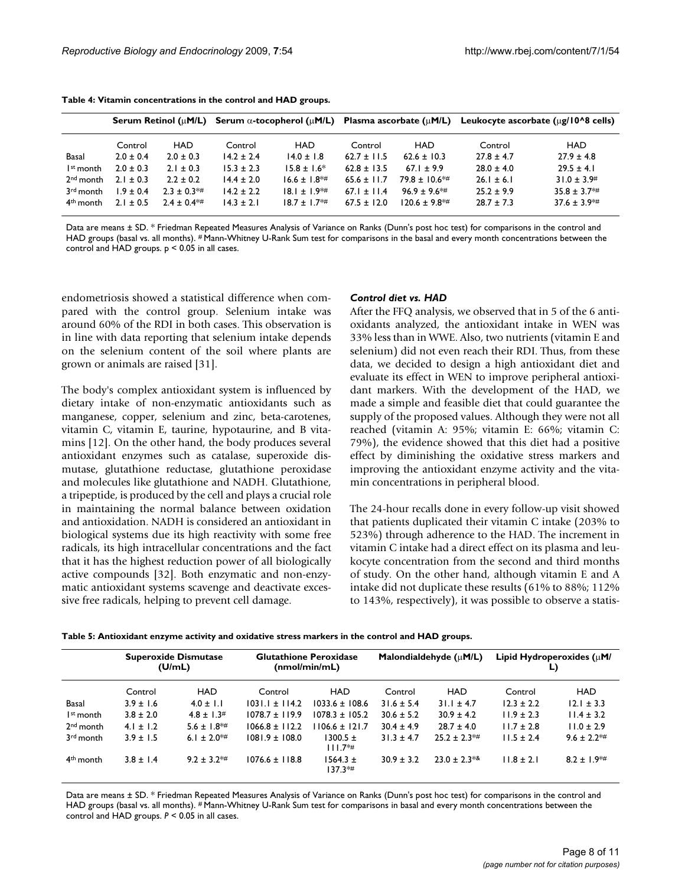|                       | <b>Serum Retinol (uM/L)</b> |               | Serum $\alpha$ -tocopherol ( $\mu$ M/L) Plasma ascorbate ( $\mu$ M/L) |                   |                 |                  | Leukocyte ascorbate $(\mu$ g/10^8 cells) |                      |
|-----------------------|-----------------------------|---------------|-----------------------------------------------------------------------|-------------------|-----------------|------------------|------------------------------------------|----------------------|
|                       | Control                     | HAD           | Control                                                               | HAD               | Control         | HAD              | Control                                  | HAD                  |
| Basal                 | $2.0 \pm 0.4$               | $2.0 \pm 0.3$ | $14.2 \pm 2.4$                                                        | $14.0 \pm 1.8$    | $62.7 \pm 11.5$ | $62.6 \pm 10.3$  | $27.8 \pm 4.7$                           | $27.9 \pm 4.8$       |
| I <sup>st</sup> month | $2.0 \pm 0.3$               | $2.1 \pm 0.3$ | $15.3 \pm 2.3$                                                        | $15.8 \pm 1.6^*$  | $62.8 + 13.5$   | $67.1 + 9.9$     | $28.0 \pm 4.0$                           | $29.5 \pm 4.1$       |
| $2nd$ month           | $2.1 \pm 0.3$               | $2.2 + 0.2$   | $14.4 + 2.0$                                                          | $16.6 \pm 1.8$ *# | $65.6 + 11.7$   | $79.8 + 10.6$ *# | $26.1 \pm 6.1$                           | $31.0 \pm 3.9$ #     |
| 3 <sup>rd</sup> month | $1.9 \pm 0.4$               | $2.3 + 0.3**$ | $14.2 + 2.2$                                                          | $18.1 + 1.9**$    | $67.1 + 11.4$   | $96.9 + 9.6**$   | $25.2 + 9.9$                             | $35.8 \pm 3.7$ *#    |
| 4 <sup>th</sup> month | $2.1 + 0.5$                 | $2.4 + 0.4**$ | $14.3 \pm 2.1$                                                        | $18.7 + 1.7**$    | $67.5 + 12.0$   | $120.6 + 9.8$ *# | $28.7 \pm 7.3$                           | $37.6 \pm 3.9^{*}\#$ |

**Table 4: Vitamin concentrations in the control and HAD groups.**

Data are means ± SD. \* Friedman Repeated Measures Analysis of Variance on Ranks (Dunn's post hoc test) for comparisons in the control and HAD groups (basal vs. all months). # Mann-Whitney U-Rank Sum test for comparisons in the basal and every month concentrations between the control and HAD groups. p < 0.05 in all cases.

endometriosis showed a statistical difference when compared with the control group. Selenium intake was around 60% of the RDI in both cases. This observation is in line with data reporting that selenium intake depends on the selenium content of the soil where plants are grown or animals are raised [31].

The body's complex antioxidant system is influenced by dietary intake of non-enzymatic antioxidants such as manganese, copper, selenium and zinc, beta-carotenes, vitamin C, vitamin E, taurine, hypotaurine, and B vitamins [12]. On the other hand, the body produces several antioxidant enzymes such as catalase, superoxide dismutase, glutathione reductase, glutathione peroxidase and molecules like glutathione and NADH. Glutathione, a tripeptide, is produced by the cell and plays a crucial role in maintaining the normal balance between oxidation and antioxidation. NADH is considered an antioxidant in biological systems due its high reactivity with some free radicals, its high intracellular concentrations and the fact that it has the highest reduction power of all biologically active compounds [32]. Both enzymatic and non-enzymatic antioxidant systems scavenge and deactivate excessive free radicals, helping to prevent cell damage.

#### *Control diet vs. HAD*

After the FFQ analysis, we observed that in 5 of the 6 antioxidants analyzed, the antioxidant intake in WEN was 33% less than in WWE. Also, two nutrients (vitamin E and selenium) did not even reach their RDI. Thus, from these data, we decided to design a high antioxidant diet and evaluate its effect in WEN to improve peripheral antioxidant markers. With the development of the HAD, we made a simple and feasible diet that could guarantee the supply of the proposed values. Although they were not all reached (vitamin A: 95%; vitamin E: 66%; vitamin C: 79%), the evidence showed that this diet had a positive effect by diminishing the oxidative stress markers and improving the antioxidant enzyme activity and the vitamin concentrations in peripheral blood.

The 24-hour recalls done in every follow-up visit showed that patients duplicated their vitamin C intake (203% to 523%) through adherence to the HAD. The increment in vitamin C intake had a direct effect on its plasma and leukocyte concentration from the second and third months of study. On the other hand, although vitamin E and A intake did not duplicate these results (61% to 88%; 112% to 143%, respectively), it was possible to observe a statis-

|                       | <b>Superoxide Dismutase</b><br>(U/mL) |                         |                    | <b>Glutathione Peroxidase</b><br>(nmol/min/mL) | Malondialdehyde $(\mu M/L)$ |                   | Lipid Hydroperoxides $(\mu M)$<br>L) |                     |
|-----------------------|---------------------------------------|-------------------------|--------------------|------------------------------------------------|-----------------------------|-------------------|--------------------------------------|---------------------|
|                       | Control                               | <b>HAD</b>              | Control            | <b>HAD</b>                                     | Control                     | HAD               | Control                              | <b>HAD</b>          |
| Basal                 | $3.9 \pm 1.6$                         | $4.0 \pm 1.1$           | $1031.1 \pm 114.2$ | $1033.6 \pm 108.6$                             | $31.6 \pm 5.4$              | $31.1 \pm 4.7$    | $12.3 \pm 2.2$                       | $12.1 \pm 3.3$      |
| I <sup>st</sup> month | $3.8 \pm 2.0$                         | $4.8 \pm 1.3$ #         | $1078.7 \pm 119.9$ | $1078.3 \pm 105.2$                             | $30.6 \pm 5.2$              | $30.9 \pm 4.2$    | $11.9 \pm 2.3$                       | $11.4 \pm 3.2$      |
| $2nd$ month           | $4.1 \pm 1.2$                         | $5.6 \pm 1.8^{+4}$      | $1066.8 + 112.2$   | $1106.6 \pm 121.7$                             | $30.4 \pm 4.9$              | $28.7 \pm 4.0$    | $11.7 \pm 2.8$                       | $11.0 \pm 2.9$      |
| 3rd month             | $3.9 \pm 1.5$                         | 6.1 ± 2.0 <sup>*#</sup> | $1081.9 \pm 108.0$ | $1300.5 \pm$<br>$111.7**$                      | $31.3 \pm 4.7$              | $25.2 \pm 2.3$ *# | $11.5 \pm 2.4$                       | $9.6 \pm 2.2$ *#    |
| 4 <sup>th</sup> month | $3.8 \pm 1.4$                         | $9.2 + 3.2**$           | $1076.6 \pm 118.8$ | $1564.3 \pm$<br>$137.3**$                      | $30.9 \pm 3.2$              | $23.0 + 2.3^{*8}$ | $11.8 \pm 2.1$                       | $8.2 \pm 1.9^{*}\#$ |

Data are means  $\pm$  SD. \* Friedman Repeated Measures Analysis of Variance on Ranks (Dunn's post hoc test) for comparisons in the control and HAD groups (basal vs. all months). # Mann-Whitney U-Rank Sum test for comparisons in basal and every month concentrations between the control and HAD groups. *P* < 0.05 in all cases.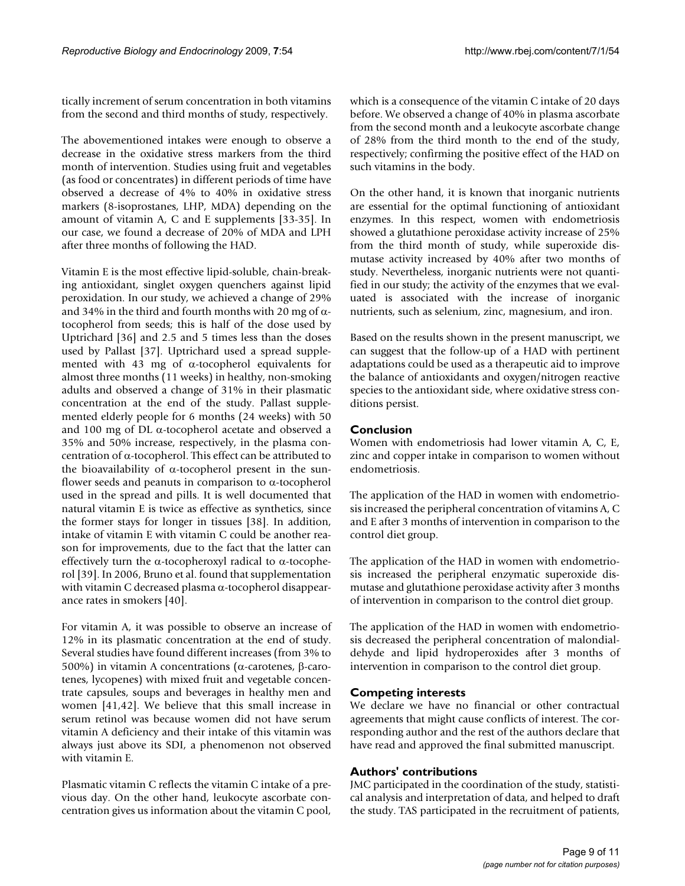tically increment of serum concentration in both vitamins from the second and third months of study, respectively.

The abovementioned intakes were enough to observe a decrease in the oxidative stress markers from the third month of intervention. Studies using fruit and vegetables (as food or concentrates) in different periods of time have observed a decrease of 4% to 40% in oxidative stress markers (8-isoprostanes, LHP, MDA) depending on the amount of vitamin A, C and E supplements [33-35]. In our case, we found a decrease of 20% of MDA and LPH after three months of following the HAD.

Vitamin E is the most effective lipid-soluble, chain-breaking antioxidant, singlet oxygen quenchers against lipid peroxidation. In our study, we achieved a change of 29% and 34% in the third and fourth months with 20 mg of  $\alpha$ tocopherol from seeds; this is half of the dose used by Uptrichard [36] and 2.5 and 5 times less than the doses used by Pallast [37]. Uptrichard used a spread supplemented with 43 mg of α-tocopherol equivalents for almost three months (11 weeks) in healthy, non-smoking adults and observed a change of 31% in their plasmatic concentration at the end of the study. Pallast supplemented elderly people for 6 months (24 weeks) with 50 and 100 mg of DL α-tocopherol acetate and observed a 35% and 50% increase, respectively, in the plasma concentration of α-tocopherol. This effect can be attributed to the bioavailability of  $α$ -tocopherol present in the sunflower seeds and peanuts in comparison to  $\alpha$ -tocopherol used in the spread and pills. It is well documented that natural vitamin E is twice as effective as synthetics, since the former stays for longer in tissues [38]. In addition, intake of vitamin E with vitamin C could be another reason for improvements, due to the fact that the latter can effectively turn the α-tocopheroxyl radical to α-tocopherol [39]. In 2006, Bruno et al. found that supplementation with vitamin C decreased plasma α-tocopherol disappearance rates in smokers [40].

For vitamin A, it was possible to observe an increase of 12% in its plasmatic concentration at the end of study. Several studies have found different increases (from 3% to 500%) in vitamin A concentrations (α-carotenes, β-carotenes, lycopenes) with mixed fruit and vegetable concentrate capsules, soups and beverages in healthy men and women [41,42]. We believe that this small increase in serum retinol was because women did not have serum vitamin A deficiency and their intake of this vitamin was always just above its SDI, a phenomenon not observed with vitamin E.

Plasmatic vitamin C reflects the vitamin C intake of a previous day. On the other hand, leukocyte ascorbate concentration gives us information about the vitamin C pool, which is a consequence of the vitamin C intake of 20 days before. We observed a change of 40% in plasma ascorbate from the second month and a leukocyte ascorbate change of 28% from the third month to the end of the study, respectively; confirming the positive effect of the HAD on such vitamins in the body.

On the other hand, it is known that inorganic nutrients are essential for the optimal functioning of antioxidant enzymes. In this respect, women with endometriosis showed a glutathione peroxidase activity increase of 25% from the third month of study, while superoxide dismutase activity increased by 40% after two months of study. Nevertheless, inorganic nutrients were not quantified in our study; the activity of the enzymes that we evaluated is associated with the increase of inorganic nutrients, such as selenium, zinc, magnesium, and iron.

Based on the results shown in the present manuscript, we can suggest that the follow-up of a HAD with pertinent adaptations could be used as a therapeutic aid to improve the balance of antioxidants and oxygen/nitrogen reactive species to the antioxidant side, where oxidative stress conditions persist.

# **Conclusion**

Women with endometriosis had lower vitamin A, C, E, zinc and copper intake in comparison to women without endometriosis.

The application of the HAD in women with endometriosis increased the peripheral concentration of vitamins A, C and E after 3 months of intervention in comparison to the control diet group.

The application of the HAD in women with endometriosis increased the peripheral enzymatic superoxide dismutase and glutathione peroxidase activity after 3 months of intervention in comparison to the control diet group.

The application of the HAD in women with endometriosis decreased the peripheral concentration of malondialdehyde and lipid hydroperoxides after 3 months of intervention in comparison to the control diet group.

# **Competing interests**

We declare we have no financial or other contractual agreements that might cause conflicts of interest. The corresponding author and the rest of the authors declare that have read and approved the final submitted manuscript.

# **Authors' contributions**

JMC participated in the coordination of the study, statistical analysis and interpretation of data, and helped to draft the study. TAS participated in the recruitment of patients,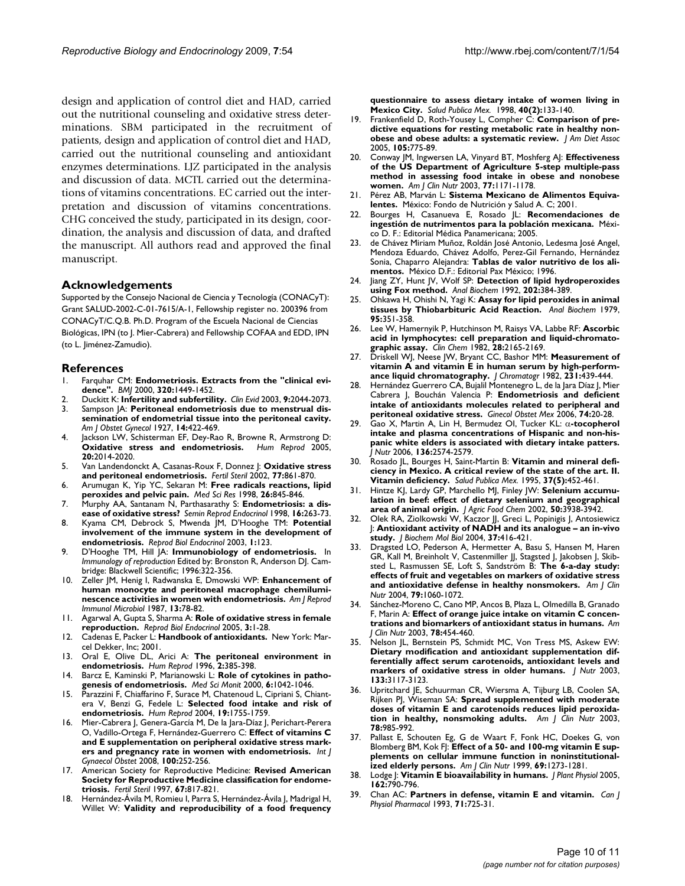design and application of control diet and HAD, carried out the nutritional counseling and oxidative stress determinations. SBM participated in the recruitment of patients, design and application of control diet and HAD, carried out the nutritional counseling and antioxidant enzymes determinations. LJZ participated in the analysis and discussion of data. MCTL carried out the determinations of vitamins concentrations. EC carried out the interpretation and discussion of vitamins concentrations. CHG conceived the study, participated in its design, coordination, the analysis and discussion of data, and drafted the manuscript. All authors read and approved the final manuscript.

#### **Acknowledgements**

Supported by the Consejo Nacional de Ciencia y Tecnología (CONACyT): Grant SALUD-2002-C-01-7615/A-1, Fellowship register no. 200396 from CONACyT/C.Q.B. Ph.D. Program of the Escuela Nacional de Ciencias Biológicas, IPN (to J. Mier-Cabrera) and Fellowship COFAA and EDD, IPN (to L. Jiménez-Zamudio).

#### **References**

- 1. Farquhar CM: **[Endometriosis. Extracts from the "clinical evi](http://www.ncbi.nlm.nih.gov/entrez/query.fcgi?cmd=Retrieve&db=PubMed&dopt=Abstract&list_uids=10827052)[dence".](http://www.ncbi.nlm.nih.gov/entrez/query.fcgi?cmd=Retrieve&db=PubMed&dopt=Abstract&list_uids=10827052)** *BMJ* 2000, **320:**1449-1452.
- 2. Duckitt K: **[Infertility and subfertility.](http://www.ncbi.nlm.nih.gov/entrez/query.fcgi?cmd=Retrieve&db=PubMed&dopt=Abstract&list_uids=12967463)** *Clin Evid* 2003, **9:**2044-2073.
- 3. Sampson JA: **Peritoneal endometriosis due to menstrual dissemination of endometrial tissue into the peritoneal cavity.** *Am J Obstet Gynecol* 1927, **14:**422-469.
- 4. Jackson LW, Schisterman EF, Dey-Rao R, Browne R, Armstrong D:<br>**Oxidative stress and endometriosis.** Hum Reprod 2005, **[Oxidative stress and endometriosis.](http://www.ncbi.nlm.nih.gov/entrez/query.fcgi?cmd=Retrieve&db=PubMed&dopt=Abstract&list_uids=15817589) 20:**2014-2020.
- 5. Van Landendonckt A, Casanas-Roux F, Donnez |: [Oxidative stress](http://www.ncbi.nlm.nih.gov/entrez/query.fcgi?cmd=Retrieve&db=PubMed&dopt=Abstract&list_uids=12009336) **[and peritoneal endometriosis.](http://www.ncbi.nlm.nih.gov/entrez/query.fcgi?cmd=Retrieve&db=PubMed&dopt=Abstract&list_uids=12009336)** *Fertil Steril* 2002, **77:**861-870.
- 6. Arumugan K, Yip YC, Sekaran M: **Free radicals reactions, lipid peroxides and pelvic pain.** *Med Sci Res* 1998, **26:**845-846.
- 7. Murphy AA, Santanam N, Parthasarathy S: **[Endometriosis: a dis](http://www.ncbi.nlm.nih.gov/entrez/query.fcgi?cmd=Retrieve&db=PubMed&dopt=Abstract&list_uids=10101808)[ease of oxidative stress?](http://www.ncbi.nlm.nih.gov/entrez/query.fcgi?cmd=Retrieve&db=PubMed&dopt=Abstract&list_uids=10101808)** *Semin Reprod Endocrinol* 1998, **16:**263-73.
- 8. Kyama CM, Debrock S, Mwenda JM, D'Hooghe TM: **[Potential](http://www.ncbi.nlm.nih.gov/entrez/query.fcgi?cmd=Retrieve&db=PubMed&dopt=Abstract&list_uids=14651748) [involvement of the immune system in the development of](http://www.ncbi.nlm.nih.gov/entrez/query.fcgi?cmd=Retrieve&db=PubMed&dopt=Abstract&list_uids=14651748) [endometriosis.](http://www.ncbi.nlm.nih.gov/entrez/query.fcgi?cmd=Retrieve&db=PubMed&dopt=Abstract&list_uids=14651748)** *Reprod Biol Endocrinol* 2003, **1:**123.
- 9. D'Hooghe TM, Hill JA: **Immunobiology of endometriosis.** In *Immunology of reproduction* Edited by: Bronston R, Anderson DJ. Cambridge: Blackwell Scientific; 1996:322-356.
- 10. Zeller JM, Henig I, Radwanska E, Dmowski WP: **[Enhancement of](http://www.ncbi.nlm.nih.gov/entrez/query.fcgi?cmd=Retrieve&db=PubMed&dopt=Abstract&list_uids=3605484) [human monocyte and peritoneal macrophage chemilumi](http://www.ncbi.nlm.nih.gov/entrez/query.fcgi?cmd=Retrieve&db=PubMed&dopt=Abstract&list_uids=3605484)[nescence activities in women with endometriosis.](http://www.ncbi.nlm.nih.gov/entrez/query.fcgi?cmd=Retrieve&db=PubMed&dopt=Abstract&list_uids=3605484)** *Am J Reprod Immunol Microbiol* 1987, **13:**78-82.
- 11. Agarwal A, Gupta S, Sharma A: **[Role of oxidative stress in female](http://www.ncbi.nlm.nih.gov/entrez/query.fcgi?cmd=Retrieve&db=PubMed&dopt=Abstract&list_uids=15642115) [reproduction.](http://www.ncbi.nlm.nih.gov/entrez/query.fcgi?cmd=Retrieve&db=PubMed&dopt=Abstract&list_uids=15642115)** *Reprod Biol Endocrinol* 2005, **3:**1-28.
- 12. Cadenas E, Packer L: **Handbook of antioxidants.** New York: Marcel Dekker, Inc; 2001.
- 13. Oral E, Olive DL, Arici A: **The peritoneal environment in endometriosis.** *Hum Reprod* 1996, **2:**385-398.
- 14. Barcz E, Kaminski P, Marianowski L: **[Role of cytokines in patho](http://www.ncbi.nlm.nih.gov/entrez/query.fcgi?cmd=Retrieve&db=PubMed&dopt=Abstract&list_uids=11208452)[genesis of endometriosis.](http://www.ncbi.nlm.nih.gov/entrez/query.fcgi?cmd=Retrieve&db=PubMed&dopt=Abstract&list_uids=11208452)** *Med Sci Monit* 2000, **6:**1042-1046.
- 15. Parazzini F, Chiaffarino F, Surace M, Chatenoud L, Cipriani S, Chiantera V, Benzi G, Fedele L: **[Selected food intake and risk of](http://www.ncbi.nlm.nih.gov/entrez/query.fcgi?cmd=Retrieve&db=PubMed&dopt=Abstract&list_uids=15254009) [endometriosis.](http://www.ncbi.nlm.nih.gov/entrez/query.fcgi?cmd=Retrieve&db=PubMed&dopt=Abstract&list_uids=15254009)** *Hum Reprod* 2004, **19:**1755-1759.
- 16. Mier-Cabrera J, Genera-García M, De la Jara-Díaz J, Perichart-Perera O, Vadillo-Ortega F, Hernández-Guerrero C: **[Effect of vitamins C](http://www.ncbi.nlm.nih.gov/entrez/query.fcgi?cmd=Retrieve&db=PubMed&dopt=Abstract&list_uids=18005966) [and E supplementation on peripheral oxidative stress mark](http://www.ncbi.nlm.nih.gov/entrez/query.fcgi?cmd=Retrieve&db=PubMed&dopt=Abstract&list_uids=18005966)[ers and pregnancy rate in women with endometriosis.](http://www.ncbi.nlm.nih.gov/entrez/query.fcgi?cmd=Retrieve&db=PubMed&dopt=Abstract&list_uids=18005966)** *Int J Gynaecol Obstet* 2008, **100:**252-256.
- 17. American Society for Reproductive Medicine: **[Revised American](http://www.ncbi.nlm.nih.gov/entrez/query.fcgi?cmd=Retrieve&db=PubMed&dopt=Abstract&list_uids=9130884) [Society for Reproductive Medicine classification for endome](http://www.ncbi.nlm.nih.gov/entrez/query.fcgi?cmd=Retrieve&db=PubMed&dopt=Abstract&list_uids=9130884)[triosis.](http://www.ncbi.nlm.nih.gov/entrez/query.fcgi?cmd=Retrieve&db=PubMed&dopt=Abstract&list_uids=9130884)** *Fertil Steril* 1997, **67:**817-821.
- 18. Hernández-Ávila M, Romieu I, Parra S, Hernández-Ávila J, Madrigal H, Willet W: **[Validity and reproducibility of a food frequency](http://www.ncbi.nlm.nih.gov/entrez/query.fcgi?cmd=Retrieve&db=PubMed&dopt=Abstract&list_uids=9617194)**

**[questionnaire to assess dietary intake of women living in](http://www.ncbi.nlm.nih.gov/entrez/query.fcgi?cmd=Retrieve&db=PubMed&dopt=Abstract&list_uids=9617194) [Mexico City.](http://www.ncbi.nlm.nih.gov/entrez/query.fcgi?cmd=Retrieve&db=PubMed&dopt=Abstract&list_uids=9617194)** *Salud Publica Mex.* 1998, **40(2):**133-140.

- 19. Frankenfield D, Roth-Yousey L, Compher C: **[Comparison of pre](http://www.ncbi.nlm.nih.gov/entrez/query.fcgi?cmd=Retrieve&db=PubMed&dopt=Abstract&list_uids=15883556)[dictive equations for resting metabolic rate in healthy non](http://www.ncbi.nlm.nih.gov/entrez/query.fcgi?cmd=Retrieve&db=PubMed&dopt=Abstract&list_uids=15883556)[obese and obese adults: a systematic review.](http://www.ncbi.nlm.nih.gov/entrez/query.fcgi?cmd=Retrieve&db=PubMed&dopt=Abstract&list_uids=15883556)** *J Am Diet Assoc* 2005, **105:**775-89.
- 20. Conway JM, Ingwersen LA, Vinyard BT, Moshferg AJ: **[Effectiveness](http://www.ncbi.nlm.nih.gov/entrez/query.fcgi?cmd=Retrieve&db=PubMed&dopt=Abstract&list_uids=12716668) [of the US Department of Agriculture 5-step multiple-pass](http://www.ncbi.nlm.nih.gov/entrez/query.fcgi?cmd=Retrieve&db=PubMed&dopt=Abstract&list_uids=12716668) method in assessing food intake in obese and nonobese [women.](http://www.ncbi.nlm.nih.gov/entrez/query.fcgi?cmd=Retrieve&db=PubMed&dopt=Abstract&list_uids=12716668)** *Am J Clin Nutr* 2003, **77:**1171-1178.
- 21. Pérez AB, Marván L: **Sistema Mexicano de Alimentos Equivalentes.** México: Fondo de Nutrición y Salud A. C; 2001.
- 22. Bourges H, Casanueva E, Rosado JL: **Recomendaciones de ingestión de nutrimentos para la población mexicana.** México D. F.: Editorial Médica Panamericana; 2005.
- 23. de Chávez Miriam Muñoz, Roldán José Antonio, Ledesma José Angel, Mendoza Eduardo, Chávez Adolfo, Perez-Gil Fernando, Hernández Sonia, Chaparro Alejandra: **Tablas de valor nutritivo de los alimentos.** México D.F.: Editorial Pax México; 1996.
- 24. Jiang ZY, Hunt JV, Wolf SP: **[Detection of lipid hydroperoxides](http://www.ncbi.nlm.nih.gov/entrez/query.fcgi?cmd=Retrieve&db=PubMed&dopt=Abstract&list_uids=1519766) [using Fox method.](http://www.ncbi.nlm.nih.gov/entrez/query.fcgi?cmd=Retrieve&db=PubMed&dopt=Abstract&list_uids=1519766)** *Anal Biochem* 1992, **202:**384-389.
- 25. Ohkawa H, Ohishi N, Yagi K: **[Assay for lipid peroxides in animal](http://www.ncbi.nlm.nih.gov/entrez/query.fcgi?cmd=Retrieve&db=PubMed&dopt=Abstract&list_uids=36810) [tissues by Thiobarbituric Acid Reaction.](http://www.ncbi.nlm.nih.gov/entrez/query.fcgi?cmd=Retrieve&db=PubMed&dopt=Abstract&list_uids=36810)** *Anal Biochem* 1979, **95:**351-358.
- 26. Lee W, Hamernyik P, Hutchinson M, Raisys VA, Labbe RF: **[Ascorbic](http://www.ncbi.nlm.nih.gov/entrez/query.fcgi?cmd=Retrieve&db=PubMed&dopt=Abstract&list_uids=7127749) [acid in lymphocytes: cell preparation and liquid-chromato](http://www.ncbi.nlm.nih.gov/entrez/query.fcgi?cmd=Retrieve&db=PubMed&dopt=Abstract&list_uids=7127749)[graphic assay.](http://www.ncbi.nlm.nih.gov/entrez/query.fcgi?cmd=Retrieve&db=PubMed&dopt=Abstract&list_uids=7127749)** *Clin Chem* 1982, **28:**2165-2169.
- 27. Driskell WJ, Neese JW, Bryant CC, Bashor MM: **[Measurement of](http://www.ncbi.nlm.nih.gov/entrez/query.fcgi?cmd=Retrieve&db=PubMed&dopt=Abstract&list_uids=7130321) [vitamin A and vitamin E in human serum by high-perform](http://www.ncbi.nlm.nih.gov/entrez/query.fcgi?cmd=Retrieve&db=PubMed&dopt=Abstract&list_uids=7130321)[ance liquid chromatography.](http://www.ncbi.nlm.nih.gov/entrez/query.fcgi?cmd=Retrieve&db=PubMed&dopt=Abstract&list_uids=7130321)** *J Chromatogr* 1982, **231:**439-444.
- 28. Hernández Guerrero CA, Bujalil Montenegro L, de la Jara Díaz J, Mier Cabrera J, Bouchán Valencia P: **[Endometriosis and deficient](http://www.ncbi.nlm.nih.gov/entrez/query.fcgi?cmd=Retrieve&db=PubMed&dopt=Abstract&list_uids=16634350) [intake of antioxidants molecules related to peripheral and](http://www.ncbi.nlm.nih.gov/entrez/query.fcgi?cmd=Retrieve&db=PubMed&dopt=Abstract&list_uids=16634350)**
- **[peritoneal oxidative stress.](http://www.ncbi.nlm.nih.gov/entrez/query.fcgi?cmd=Retrieve&db=PubMed&dopt=Abstract&list_uids=16634350)** *Ginecol Obstet Mex* 2006, **74:**20-28. 29. Gao X, Martin A, Lin H, Bermudez OI, Tucker KL: α**[-tocopherol](http://www.ncbi.nlm.nih.gov/entrez/query.fcgi?cmd=Retrieve&db=PubMed&dopt=Abstract&list_uids=16988129) intake and plasma concentrations of Hispanic and non-his[panic white elders is associated with dietary intake patters.](http://www.ncbi.nlm.nih.gov/entrez/query.fcgi?cmd=Retrieve&db=PubMed&dopt=Abstract&list_uids=16988129)** *J Nutr* 2006, **136:**2574-2579.
- 30. Rosado JL, Bourges H, Saint-Martin B: **[Vitamin and mineral defi](http://www.ncbi.nlm.nih.gov/entrez/query.fcgi?cmd=Retrieve&db=PubMed&dopt=Abstract&list_uids=8600562)[ciency in Mexico. A critical review of the state of the art. II.](http://www.ncbi.nlm.nih.gov/entrez/query.fcgi?cmd=Retrieve&db=PubMed&dopt=Abstract&list_uids=8600562) [Vitamin deficiency.](http://www.ncbi.nlm.nih.gov/entrez/query.fcgi?cmd=Retrieve&db=PubMed&dopt=Abstract&list_uids=8600562)** *Salud Publica Mex.* 1995, **37(5):**452-461.
- 31. Hintze KJ, Lardy GP, Marchello MJ, Finley JW: **[Selenium accumu](http://www.ncbi.nlm.nih.gov/entrez/query.fcgi?cmd=Retrieve&db=PubMed&dopt=Abstract&list_uids=12083862)[lation in beef: effect of dietary selenium and geographical](http://www.ncbi.nlm.nih.gov/entrez/query.fcgi?cmd=Retrieve&db=PubMed&dopt=Abstract&list_uids=12083862) [area of animal origin.](http://www.ncbi.nlm.nih.gov/entrez/query.fcgi?cmd=Retrieve&db=PubMed&dopt=Abstract&list_uids=12083862)** *J Agric Food Chem* 2002, **50:**3938-3942.
- 32. Olek RA, Ziolkowski W, Kaczor JJ, Greci L, Popinigis J, Antosiewicz J: **[Antioxidant activity of NADH and its analogue – an in-vivo](http://www.ncbi.nlm.nih.gov/entrez/query.fcgi?cmd=Retrieve&db=PubMed&dopt=Abstract&list_uids=15469728) [study.](http://www.ncbi.nlm.nih.gov/entrez/query.fcgi?cmd=Retrieve&db=PubMed&dopt=Abstract&list_uids=15469728)** *J Biochem Mol Biol* 2004, **37:**416-421.
- 33. Dragsted LO, Pederson A, Hermetter A, Basu S, Hansen M, Haren GR, Kall M, Breinholt V, Castenmiller JJ, Stagsted J, Jakobsen J, Skibsted L, Rasmussen SE, Loft S, Sandström B: **[The 6-a-day study:](http://www.ncbi.nlm.nih.gov/entrez/query.fcgi?cmd=Retrieve&db=PubMed&dopt=Abstract&list_uids=15159237) [effects of fruit and vegetables on markers of oxidative stress](http://www.ncbi.nlm.nih.gov/entrez/query.fcgi?cmd=Retrieve&db=PubMed&dopt=Abstract&list_uids=15159237) [and antioxidative defense in healthy nonsmokers.](http://www.ncbi.nlm.nih.gov/entrez/query.fcgi?cmd=Retrieve&db=PubMed&dopt=Abstract&list_uids=15159237)** *Am J Clin Nutr* 2004, **79:**1060-1072.
- Sánchez-Moreno C, Cano MP, Ancos B, Plaza L, Olmedilla B, Granado F, Marin A: **[Effect of orange juice intake on vitamin C concen](http://www.ncbi.nlm.nih.gov/entrez/query.fcgi?cmd=Retrieve&db=PubMed&dopt=Abstract&list_uids=12936929)[trations and biomarkers of antioxidant status in humans.](http://www.ncbi.nlm.nih.gov/entrez/query.fcgi?cmd=Retrieve&db=PubMed&dopt=Abstract&list_uids=12936929)** *Am J Clin Nutr* 2003, **78:**454-460.
- 35. Nelson JL, Bernstein PS, Schmidt MC, Von Tress MS, Askew EW: **[Dietary modification and antioxidant supplementation dif](http://www.ncbi.nlm.nih.gov/entrez/query.fcgi?cmd=Retrieve&db=PubMed&dopt=Abstract&list_uids=14519794)ferentially affect serum carotenoids, antioxidant levels and [markers of oxidative stress in older humans.](http://www.ncbi.nlm.nih.gov/entrez/query.fcgi?cmd=Retrieve&db=PubMed&dopt=Abstract&list_uids=14519794)** *J Nutr* 2003, **133:**3117-3123.
- Upritchard JE, Schuurman CR, Wiersma A, Tijburg LB, Coolen SA, Rijken PJ, Wiseman SA: **[Spread supplemented with moderate](http://www.ncbi.nlm.nih.gov/entrez/query.fcgi?cmd=Retrieve&db=PubMed&dopt=Abstract&list_uids=14594786) [doses of vitamin E and carotenoids reduces lipid peroxida](http://www.ncbi.nlm.nih.gov/entrez/query.fcgi?cmd=Retrieve&db=PubMed&dopt=Abstract&list_uids=14594786)[tion in healthy, nonsmoking adults.](http://www.ncbi.nlm.nih.gov/entrez/query.fcgi?cmd=Retrieve&db=PubMed&dopt=Abstract&list_uids=14594786)** *Am J Clin Nutr* 2003, **78:**985-992.
- 37. Pallast E, Schouten Eg, G de Waart F, Fonk HC, Doekes G, von Blomberg BM, Kok F|: [Effect of a 50- and 100-mg vitamin E sup](http://www.ncbi.nlm.nih.gov/entrez/query.fcgi?cmd=Retrieve&db=PubMed&dopt=Abstract&list_uids=10357750)**[plements on cellular immune function in noninstitutional](http://www.ncbi.nlm.nih.gov/entrez/query.fcgi?cmd=Retrieve&db=PubMed&dopt=Abstract&list_uids=10357750)[ized elderly persons.](http://www.ncbi.nlm.nih.gov/entrez/query.fcgi?cmd=Retrieve&db=PubMed&dopt=Abstract&list_uids=10357750)** *Am J Clin Nutr* 1999, **69:**1273-1281.
- 38. Lodge J: **[Vitamin E bioavailability in humans.](http://www.ncbi.nlm.nih.gov/entrez/query.fcgi?cmd=Retrieve&db=PubMed&dopt=Abstract&list_uids=16008106)** *J Plant Physiol* 2005, **162:**790-796.
- 39. Chan AC: **[Partners in defense, vitamin E and vitamin.](http://www.ncbi.nlm.nih.gov/entrez/query.fcgi?cmd=Retrieve&db=PubMed&dopt=Abstract&list_uids=8313238)** *Can J Physiol Pharmacol* 1993, **71:**725-31.